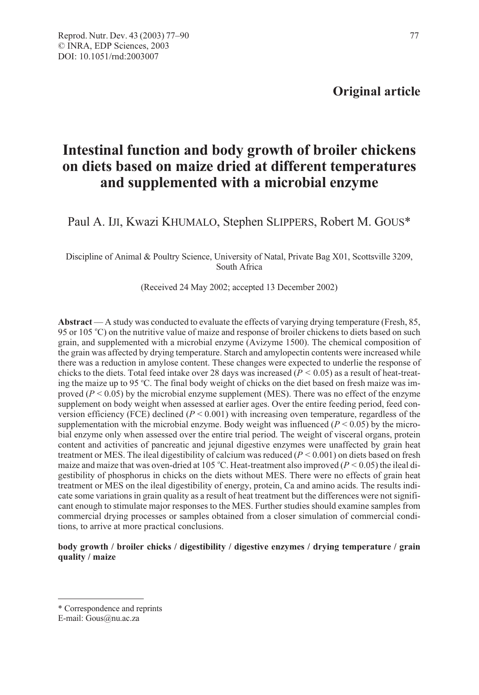# Intestinal function and body growth of broiler chickens on diets based on maize dried at different temperatures and supplemented with a microbial enzyme

Paul A. IJI, Kwazi KHUMALO, Stephen SLIPPERS, Robert M. GOUS\*

Discipline of Animal & Poultry Science, University of Natal, Private Bag X01, Scottsville 3209, South Africa

(Received 24 May 2002; accepted 13 December 2002)

Abstract — A study was conducted to evaluate the effects of varying drying temperature (Fresh, 85, 95 or 105 °C) on the nutritive value of maize and response of broiler chickens to diets based on such grain, and supplemented with a microbial enzyme (Avizyme 1500). The chemical composition of the grain was affected by drying temperature. Starch and amylopectin contents were increased while there was a reduction in amylose content. These changes were expected to underlie the response of chicks to the diets. Total feed intake over 28 days was increased ( $P < 0.05$ ) as a result of heat-treating the maize up to 95 °C. The final body weight of chicks on the diet based on fresh maize was improved ( $P < 0.05$ ) by the microbial enzyme supplement (MES). There was no effect of the enzyme supplement on body weight when assessed at earlier ages. Over the entire feeding period, feed conversion efficiency (FCE) declined ( $P < 0.001$ ) with increasing oven temperature, regardless of the supplementation with the microbial enzyme. Body weight was influenced  $(P < 0.05)$  by the microbial enzyme only when assessed over the entire trial period. The weight of visceral organs, protein content and activities of pancreatic and jejunal digestive enzymes were unaffected by grain heat treatment or MES. The ileal digestibility of calcium was reduced  $(P < 0.001)$  on diets based on fresh maize and maize that was oven-dried at 105 °C. Heat-treatment also improved ( $P < 0.05$ ) the ileal digestibility of phosphorus in chicks on the diets without MES. There were no effects of grain heat treatment or MES on the ileal digestibility of energy, protein, Ca and amino acids. The results indicate some variations in grain quality as a result of heat treatment but the differences were not significant enough to stimulate major responses to the MES. Further studies should examine samples from commercial drying processes or samples obtained from a closer simulation of commercial conditions, to arrive at more practical conclusions.

## body growth / broiler chicks / digestibility / digestive enzymes / drying temperature / grain quality / maize

<sup>\*</sup> Correspondence and reprints

E-mail: Gous@nu.ac.za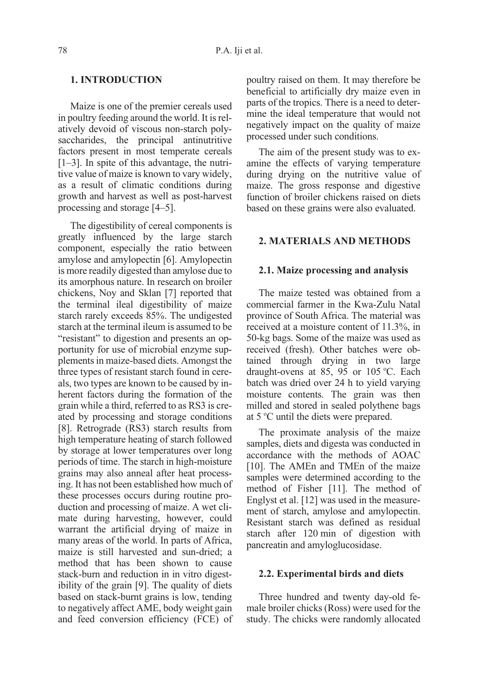# 1. INTRODUCTION

Maize is one of the premier cereals used in poultry feeding around the world. It is relatively devoid of viscous non-starch polysaccharides, the principal antinutritive factors present in most temperate cereals [1–3]. In spite of this advantage, the nutritive value of maize is known to vary widely, as a result of climatic conditions during growth and harvest as well as post-harvest processing and storage [4–5].

The digestibility of cereal components is greatly influenced by the large starch component, especially the ratio between amylose and amylopectin [6]. Amylopectin is more readily digested than amylose due to its amorphous nature. In research on broiler chickens, Noy and Sklan [7] reported that the terminal ileal digestibility of maize starch rarely exceeds 85%. The undigested starch at the terminal ileum is assumed to be "resistant" to digestion and presents an opportunity for use of microbial enzyme supplements in maize-based diets. Amongst the three types of resistant starch found in cereals, two types are known to be caused by inherent factors during the formation of the grain while a third, referred to as RS3 is created by processing and storage conditions [8]. Retrograde (RS3) starch results from high temperature heating of starch followed by storage at lower temperatures over long periods of time. The starch in high-moisture grains may also anneal after heat processing. It has not been established how much of these processes occurs during routine production and processing of maize. A wet climate during harvesting, however, could warrant the artificial drying of maize in many areas of the world. In parts of Africa, maize is still harvested and sun-dried; a method that has been shown to cause stack-burn and reduction in in vitro digestibility of the grain [9]. The quality of diets based on stack-burnt grains is low, tending to negatively affect AME, body weight gain and feed conversion efficiency (FCE) of poultry raised on them. It may therefore be beneficial to artificially dry maize even in parts of the tropics. There is a need to determine the ideal temperature that would not negatively impact on the quality of maize processed under such conditions.

The aim of the present study was to examine the effects of varying temperature during drying on the nutritive value of maize. The gross response and digestive function of broiler chickens raised on diets based on these grains were also evaluated.

## 2. MATERIALS AND METHODS

### 2.1. Maize processing and analysis

The maize tested was obtained from a commercial farmer in the Kwa-Zulu Natal province of South Africa. The material was received at a moisture content of 11.3%, in 50-kg bags. Some of the maize was used as received (fresh). Other batches were obtained through drying in two large draught-ovens at 85, 95 or 105 °C. Each batch was dried over 24 h to yield varying moisture contents. The grain was then milled and stored in sealed polythene bags at 5 °C until the diets were prepared.

The proximate analysis of the maize samples, diets and digesta was conducted in accordance with the methods of AOAC [10]. The AMEn and TMEn of the maize samples were determined according to the method of Fisher [11]. The method of Englyst et al. [12] was used in the measurement of starch, amylose and amylopectin. Resistant starch was defined as residual starch after 120 min of digestion with pancreatin and amyloglucosidase.

#### 2.2. Experimental birds and diets

Three hundred and twenty day-old female broiler chicks (Ross) were used for the study. The chicks were randomly allocated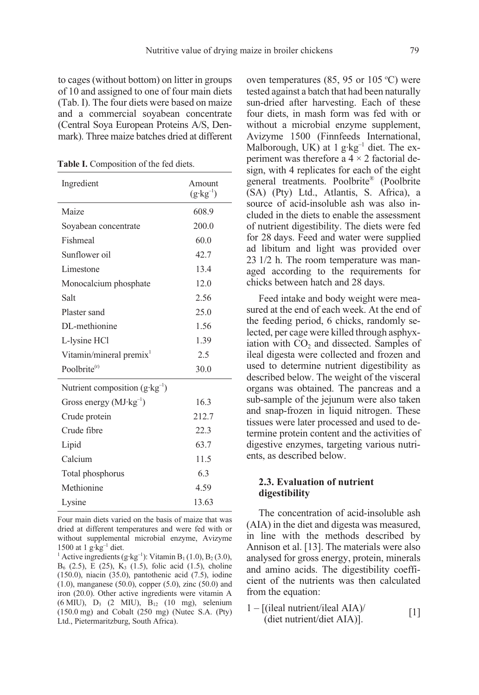to cages (without bottom) on litter in groups of 10 and assigned to one of four main diets (Tab. I). The four diets were based on maize and a commercial soyabean concentrate (Central Soya European Proteins A/S, Denmark). Three maize batches dried at different

Table I. Composition of the fed diets.

| Ingredient                               | Amount<br>$(g \cdot kg^{-1})$ |
|------------------------------------------|-------------------------------|
| Maize                                    | 608.9                         |
| Soyabean concentrate                     | 200.0                         |
| Fishmeal                                 | 60.0                          |
| Sunflower oil                            | 42.7                          |
| Limestone                                | 13.4                          |
| Monocalcium phosphate                    | 12.0                          |
| Salt                                     | 2.56                          |
| Plaster sand                             | 25.0                          |
| DL-methionine                            | 1.56                          |
| L-lysine HCl                             | 1.39                          |
| Vitamin/mineral premix <sup>1</sup>      | 2.5                           |
| Poolbrite $(r)$                          | 30.0                          |
| Nutrient composition $(g \cdot kg^{-1})$ |                               |
| Gross energy $(MJ \cdot kg^{-1})$        | 16.3                          |
| Crude protein                            | 212.7                         |
| Crude fibre                              | 22.3                          |
| Lipid                                    | 63.7                          |
| Calcium                                  | 11.5                          |
| Total phosphorus                         | 6.3                           |
| Methionine                               | 4.59                          |
| Lysine                                   | 13.63                         |

Four main diets varied on the basis of maize that was dried at different temperatures and were fed with or without supplemental microbial enzyme, Avizyme 1500 at 1  $g \cdot kg^{-1}$  diet.

<sup>1</sup> Active ingredients (g·kg<sup>-1</sup>): Vitamin B<sub>1</sub> (1.0), B<sub>2</sub> (3.0),  $B_6$  (2.5), E (25), K<sub>3</sub> (1.5), folic acid (1.5), choline (150.0), niacin (35.0), pantothenic acid (7.5), iodine (1.0), manganese (50.0), copper (5.0), zinc (50.0) and iron (20.0). Other active ingredients were vitamin A (6 MIU),  $D_3$  (2 MIU),  $B_{12}$  (10 mg), selenium (150.0 mg) and Cobalt (250 mg) (Nutec S.A. (Pty) Ltd., Pietermaritzburg, South Africa).

oven temperatures (85, 95 or 105  $^{\circ}$ C) were tested against a batch that had been naturally sun-dried after harvesting. Each of these four diets, in mash form was fed with or without a microbial enzyme supplement, Avizyme 1500 (Finnfeeds International, Malborough, UK) at 1 g·kg<sup>-1</sup> diet. The experiment was therefore a  $4 \times 2$  factorial design, with 4 replicates for each of the eight general treatments. Poolbrite® (Poolbrite (SA) (Pty) Ltd., Atlantis, S. Africa), a source of acid-insoluble ash was also included in the diets to enable the assessment of nutrient digestibility. The diets were fed for 28 days. Feed and water were supplied ad libitum and light was provided over 23 1/2 h. The room temperature was managed according to the requirements for chicks between hatch and 28 days.

Feed intake and body weight were measured at the end of each week. At the end of the feeding period, 6 chicks, randomly selected, per cage were killed through asphyxiation with  $CO<sub>2</sub>$  and dissected. Samples of ileal digesta were collected and frozen and used to determine nutrient digestibility as described below. The weight of the visceral organs was obtained. The pancreas and a sub-sample of the jejunum were also taken and snap-frozen in liquid nitrogen. These tissues were later processed and used to determine protein content and the activities of digestive enzymes, targeting various nutrients, as described below.

## 2.3. Evaluation of nutrient digestibility

The concentration of acid-insoluble ash (AIA) in the diet and digesta was measured, in line with the methods described by Annison et al. [13]. The materials were also analysed for gross energy, protein, minerals and amino acids. The digestibility coefficient of the nutrients was then calculated from the equation:

1 – [(ileal nutrient/ileal AIA)/ (the numeric near  $AIA$ )<br>
(diet nutrient/diet  $AIA$ )].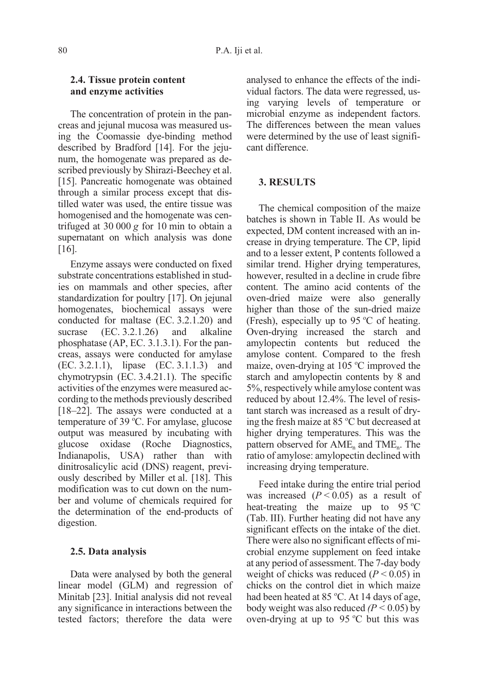## 2.4. Tissue protein content and enzyme activities

The concentration of protein in the pancreas and jejunal mucosa was measured using the Coomassie dye-binding method described by Bradford [14]. For the jejunum, the homogenate was prepared as described previously by Shirazi-Beechey et al. [15]. Pancreatic homogenate was obtained through a similar process except that distilled water was used, the entire tissue was homogenised and the homogenate was centrifuged at 30 000 g for 10 min to obtain a supernatant on which analysis was done [16].

Enzyme assays were conducted on fixed substrate concentrations established in studies on mammals and other species, after standardization for poultry [17]. On jejunal homogenates, biochemical assays were conducted for maltase (EC. 3.2.1.20) and sucrase (EC. 3.2.1.26) and alkaline phosphatase (AP, EC. 3.1.3.1). For the pancreas, assays were conducted for amylase (EC. 3.2.1.1), lipase (EC. 3.1.1.3) and chymotrypsin (EC. 3.4.21.1). The specific activities of the enzymes were measured according to the methods previously described [18–22]. The assays were conducted at a temperature of 39 °C. For amylase, glucose output was measured by incubating with glucose oxidase (Roche Diagnostics, Indianapolis, USA) rather than with dinitrosalicylic acid (DNS) reagent, previously described by Miller et al. [18]. This modification was to cut down on the number and volume of chemicals required for the determination of the end-products of digestion.

# 2.5. Data analysis

Data were analysed by both the general linear model (GLM) and regression of Minitab [23]. Initial analysis did not reveal any significance in interactions between the tested factors; therefore the data were analysed to enhance the effects of the individual factors. The data were regressed, using varying levels of temperature or microbial enzyme as independent factors. The differences between the mean values were determined by the use of least significant difference.

# 3. RESULTS

The chemical composition of the maize batches is shown in Table II. As would be expected, DM content increased with an increase in drying temperature. The CP, lipid and to a lesser extent, P contents followed a similar trend. Higher drying temperatures, however, resulted in a decline in crude fibre content. The amino acid contents of the oven-dried maize were also generally higher than those of the sun-dried maize (Fresh), especially up to 95  $\mathrm{^{\circ}C}$  of heating. Oven-drying increased the starch and amylopectin contents but reduced the amylose content. Compared to the fresh maize, oven-drying at 105 °C improved the starch and amylopectin contents by 8 and 5%, respectively while amylose content was reduced by about 12.4%. The level of resistant starch was increased as a result of drying the fresh maize at 85 °C but decreased at higher drying temperatures. This was the pattern observed for  $AME_n$  and  $TME_n$ . The ratio of amylose: amylopectin declined with increasing drying temperature.

Feed intake during the entire trial period was increased  $(P < 0.05)$  as a result of heat-treating the maize up to  $95^{\circ}$ C (Tab. III). Further heating did not have any significant effects on the intake of the diet. There were also no significant effects of microbial enzyme supplement on feed intake at any period of assessment. The 7-day body weight of chicks was reduced ( $P < 0.05$ ) in chicks on the control diet in which maize had been heated at 85 °C. At 14 days of age, body weight was also reduced  $(P < 0.05)$  by oven-drying at up to  $95^{\circ}$ C but this was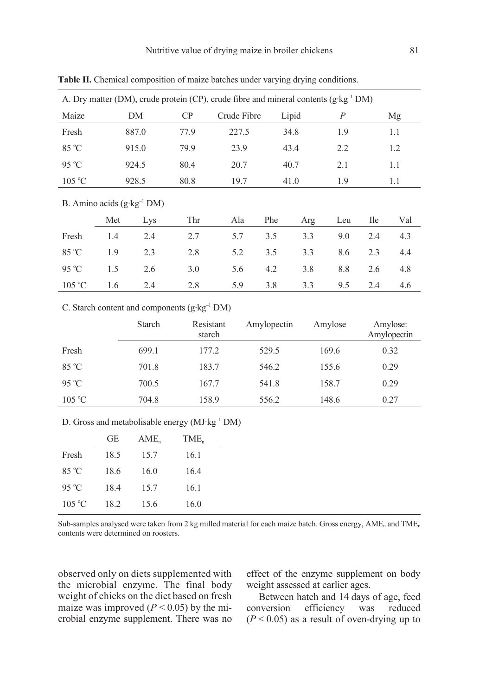|                                       | A. Dry matter (DM), crude protein (CP), crude fibre and mineral contents $(g \cdot kg^{-1} DM)$ |       |      |             |     |       |     |            |     |
|---------------------------------------|-------------------------------------------------------------------------------------------------|-------|------|-------------|-----|-------|-----|------------|-----|
| Maize                                 |                                                                                                 | DΜ    | CP   | Crude Fibre |     | Lipid | P   |            | Mg  |
| Fresh                                 |                                                                                                 | 887.0 | 77.9 | 227.5       |     | 34.8  | 1.9 |            | 1.1 |
| 85 °C                                 |                                                                                                 | 915.0 | 79.9 | 23.9        |     | 43.4  | 2.2 |            | 1.2 |
| $95^{\circ}$ C                        |                                                                                                 | 924.5 | 80.4 | 20.7        |     | 40.7  | 2.1 |            | 1.1 |
| $105\text{ °C}$                       |                                                                                                 | 928.5 | 80.8 | 19.7        |     | 41.0  | 1.9 |            | 1.1 |
| B. Amino acids $(g \cdot kg^{-1} DM)$ |                                                                                                 |       |      |             |     |       |     |            |     |
|                                       | Met                                                                                             | Lys   | Thr  | Ala         | Phe | Arg   | Leu | <b>Ile</b> | Val |
| Fresh                                 | 1.4                                                                                             | 2.4   | 2.7  | 5.7         | 3.5 | 3.3   | 9.0 | 2.4        | 4.3 |
| 85 °C                                 | 1.9                                                                                             | 2.3   | 2.8  | 5.2         | 3.5 | 3.3   | 8.6 | 2.3        | 4.4 |
| $95^{\circ}$ C                        | 1.5                                                                                             | 2.6   | 3.0  | 5.6         | 4.2 | 3.8   | 8.8 | 2.6        | 4.8 |
| $105^{\circ}$ C                       | 1.6                                                                                             | 2.4   | 2.8  | 5.9         | 3.8 | 3.3   | 9.5 | 2.4        | 4.6 |

Table II. Chemical composition of maize batches under varying drying conditions.

C. Starch content and components (g·kg–1 DM)

|                 | Starch | Resistant<br>starch | Amylopectin | Amylose | Amylose:<br>Amylopectin |
|-----------------|--------|---------------------|-------------|---------|-------------------------|
| Fresh           | 699.1  | 177.2               | 529.5       | 169.6   | 0.32                    |
| $85^{\circ}$ C  | 701.8  | 183.7               | 546.2       | 155.6   | 0.29                    |
| $95^{\circ}$ C  | 700.5  | 167.7               | 541.8       | 158.7   | 0.29                    |
| $105\text{ °C}$ | 704.8  | 158.9               | 556.2       | 148.6   | 0.27                    |

D. Gross and metabolisable energy (MJ·kg<sup>-1</sup> DM)

|                 | GЕ   | AME, | TME, |
|-----------------|------|------|------|
| Fresh           | 18.5 | 15.7 | 16.1 |
| $85^{\circ}$ C  | 18.6 | 16.0 | 16.4 |
| $95^{\circ}$ C  | 18.4 | 15.7 | 16.1 |
| $105\text{ °C}$ | 18.2 | 15.6 | 16.0 |

Sub-samples analysed were taken from 2 kg milled material for each maize batch. Gross energy,  $AME<sub>n</sub>$  and  $TIME<sub>n</sub>$ contents were determined on roosters.

observed only on diets supplemented with the microbial enzyme. The final body weight of chicks on the diet based on fresh maize was improved ( $P < 0.05$ ) by the microbial enzyme supplement. There was no effect of the enzyme supplement on body weight assessed at earlier ages.

Between hatch and 14 days of age, feed<br>nversion efficiency was reduced conversion  $(P < 0.05)$  as a result of oven-drying up to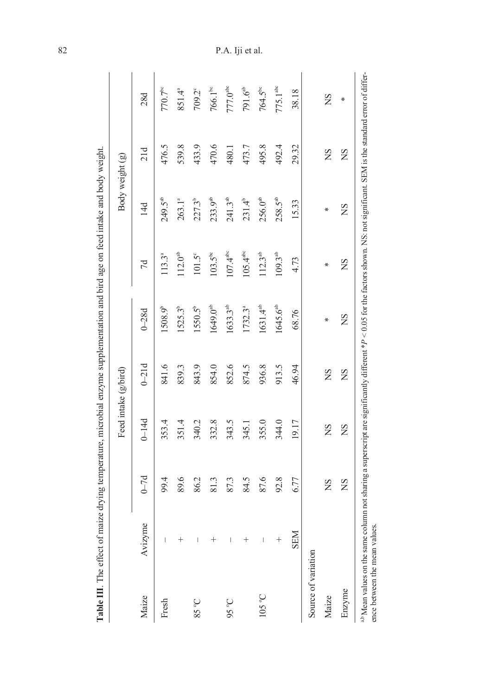|                     |            |          |           | Feed intake (g/bird) |                     |                      | Body weight (g)  |        |                      |
|---------------------|------------|----------|-----------|----------------------|---------------------|----------------------|------------------|--------|----------------------|
| Maize               | Avizyme    | $0 - 7d$ | $0 - 14d$ | $0 - 21d$            | $0 - 28d$           | 7d                   | 14d              | 21d    | 28d                  |
| Fresh               | $\mid$     | 99.4     | 353.4     | 841.6                | 1508.9 <sup>b</sup> | 113.3ª               | $249.5^{ab}$     | 476.5  | $770.7^{\circ}$      |
|                     | $^+$       | 89.6     | 351.4     | 839.3                | $1525.3^{b}$        | $112.0^{ab}$         | $263.1^{a}$      | 539.8  | 851.4ª               |
| $2\textdegree$ SS   | I          | 86.2     | 340.2     | 843.9                | $1550.5^{b}$        | $101.5^{\circ}$      | $227.3^b$        | 433.9  | 709.2°               |
|                     |            | 81.3     | 332.8     | 854.0                | $1649.0^{ab}$       | $103.5^{\rm bc}$     | $233.9^{ab}$     | 470.6  | $766.1^{\rm bc}$     |
| $26.56$             | I          | 87.3     | 343.5     | 852.6                | $1633.3^{ab}$       | $107.4^{\rm abc}$    | $241.3^{ab}$     | 480.1  | 777.0 <sup>abc</sup> |
|                     | $^{+}$     | 84.5     | 345.1     | 874.5                | 1732.3ª             | 105.4 <sup>abc</sup> | $231.4^{b}$      | 473.7  | $791.6^{\rm ab}$     |
| $105^{\circ}$ C     | I          | 87.6     | 355.0     | 936.8                | $1631.4^{ab}$       | $112.3^{ab}$         | $256.0^{ab}$     | 495.8  | $764.5^{\rm bc}$     |
|                     | $^{+}$     | 92.8     | 344.0     | 913.5                | $1645.6^{ab}$       | $109.3^{ab}$         | $258.5^{\rm ab}$ | 492.4  | 775.1 <sup>abc</sup> |
|                     | <b>NES</b> | 6.77     | 19.17     | 46.94                | 68.76               | 4.73                 | 15.33            | 29.32  | 38.18                |
| Source of variation |            |          |           |                      |                     |                      |                  |        |                      |
| Maize               |            | SN       | SN        | $_{\rm NS}$          | ∗                   | ∗                    | ∗                | $^{2}$ | SN                   |
| Enzyme              |            | SN       | SN        | SN                   | SN                  | SN                   | SN               | SN     | ∗                    |

82 P.A. Iji et al.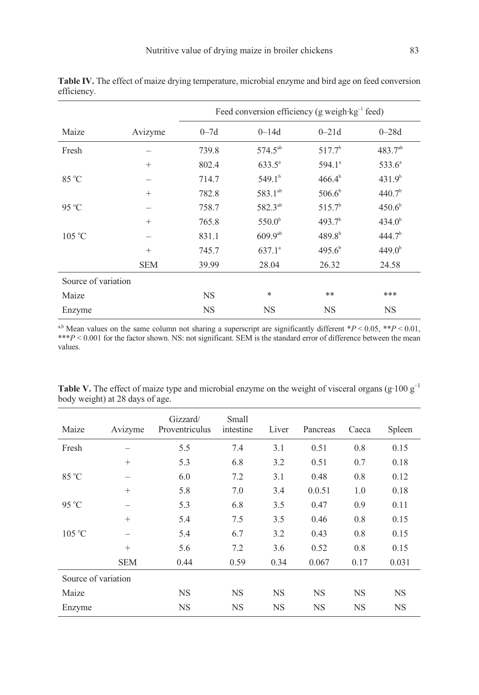|                     |            |           | Feed conversion efficiency (g weigh $kg^{-1}$ feed) |                    |                    |
|---------------------|------------|-----------|-----------------------------------------------------|--------------------|--------------------|
| Maize               | Avizyme    | $0 - 7d$  | $0 - 14d$                                           | $0 - 21d$          | $0 - 28d$          |
| Fresh               |            | 739.8     | $574.5^{ab}$                                        | $517.7^b$          | $483.7^{ab}$       |
|                     | $^{+}$     | 802.4     | $633.5^{\circ}$                                     | 594.1 <sup>a</sup> | $533.6^a$          |
| 85 °C               |            | 714.7     | $549.1^{b}$                                         | $466.4^{b}$        | 431.9 <sup>b</sup> |
|                     | $^{+}$     | 782.8     | 583.1 <sup>ab</sup>                                 | $506.6^b$          | 440.7 <sup>b</sup> |
| $95^{\circ}$ C      |            | 758.7     | 582.3 <sup>ab</sup>                                 | $515.7^b$          | 450.6 <sup>b</sup> |
|                     | $^{+}$     | 765.8     | $550.0^{\rm b}$                                     | 493.7 <sup>b</sup> | 434.0 <sup>b</sup> |
| $105^{\circ}$ C     |            | 831.1     | $609.9^{ab}$                                        | $489.8^{b}$        | 444.7 <sup>b</sup> |
|                     | $^{+}$     | 745.7     | $637.1^a$                                           | 495.6 <sup>b</sup> | 449.0 <sup>b</sup> |
|                     | <b>SEM</b> | 39.99     | 28.04                                               | 26.32              | 24.58              |
| Source of variation |            |           |                                                     |                    |                    |
| Maize               |            | <b>NS</b> | $\ast$                                              | $**$               | ***                |
| Enzyme              |            | <b>NS</b> | <b>NS</b>                                           | <b>NS</b>          | <b>NS</b>          |

Table IV. The effect of maize drying temperature, microbial enzyme and bird age on feed conversion efficiency.

<sup>a,b</sup> Mean values on the same column not sharing a superscript are significantly different \*P < 0.05, \*\*P < 0.01,  $**P < 0.001$  for the factor shown. NS: not significant. SEM is the standard error of difference between the mean values.

| Maize               | Avizyme                  | Gizzard/<br>Proventriculus | Small<br>intestine | Liver     | Pancreas  | Caeca | Spleen    |
|---------------------|--------------------------|----------------------------|--------------------|-----------|-----------|-------|-----------|
| Fresh               |                          | 5.5                        | 7.4                | 3.1       | 0.51      | 0.8   | 0.15      |
|                     | $^{+}$                   | 5.3                        | 6.8                | 3.2       | 0.51      | 0.7   | 0.18      |
| 85 °C               | -                        | 6.0                        | 7.2                | 3.1       | 0.48      | 0.8   | 0.12      |
|                     | $^{+}$                   | 5.8                        | 7.0                | 3.4       | 0.0.51    | 1.0   | 0.18      |
| $95^{\circ}$ C      | $\overline{\phantom{0}}$ | 5.3                        | 6.8                | 3.5       | 0.47      | 0.9   | 0.11      |
|                     | $^{+}$                   | 5.4                        | 7.5                | 3.5       | 0.46      | 0.8   | 0.15      |
| $105^{\circ}$ C     |                          | 5.4                        | 6.7                | 3.2       | 0.43      | 0.8   | 0.15      |
|                     | $^{+}$                   | 5.6                        | 7.2                | 3.6       | 0.52      | 0.8   | 0.15      |
|                     | <b>SEM</b>               | 0.44                       | 0.59               | 0.34      | 0.067     | 0.17  | 0.031     |
| Source of variation |                          |                            |                    |           |           |       |           |
| Maize               |                          | <b>NS</b>                  | <b>NS</b>          | NS        | <b>NS</b> | NS    | <b>NS</b> |
| Enzyme              |                          | NS                         | <b>NS</b>          | <b>NS</b> | <b>NS</b> | NS    | <b>NS</b> |

**Table V.** The effect of maize type and microbial enzyme on the weight of visceral organs (g·100  $g^{-1}$ ) body weight) at 28 days of age.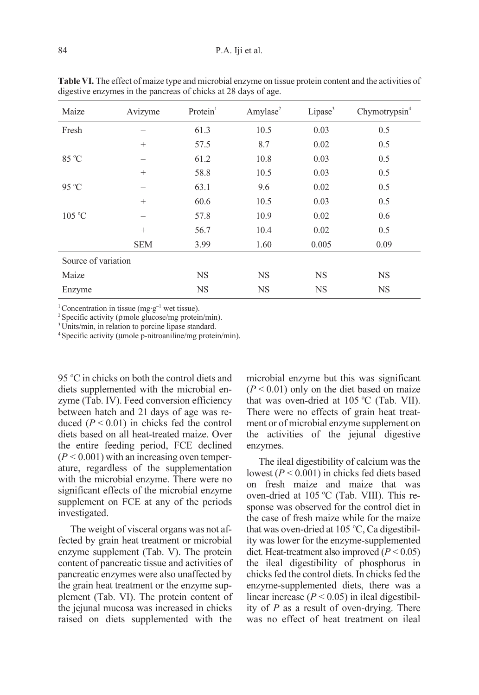| Maize               | Avizyme    | Protein <sup>1</sup> | Amylase <sup>2</sup> | Lipase <sup>3</sup> | Chymotrypsin $4$ |
|---------------------|------------|----------------------|----------------------|---------------------|------------------|
| Fresh               |            | 61.3                 | 10.5                 | 0.03                | 0.5              |
|                     | $^{+}$     | 57.5                 | 8.7                  | 0.02                | 0.5              |
| 85 °C               |            | 61.2                 | 10.8                 | 0.03                | 0.5              |
|                     | $^{+}$     | 58.8                 | 10.5                 | 0.03                | 0.5              |
| 95 °C               |            | 63.1                 | 9.6                  | 0.02                | 0.5              |
|                     | $^{+}$     | 60.6                 | 10.5                 | 0.03                | 0.5              |
| $105^{\circ}$ C     |            | 57.8                 | 10.9                 | 0.02                | 0.6              |
|                     | $^{+}$     | 56.7                 | 10.4                 | 0.02                | 0.5              |
|                     | <b>SEM</b> | 3.99                 | 1.60                 | 0.005               | 0.09             |
| Source of variation |            |                      |                      |                     |                  |
| Maize               |            | <b>NS</b>            | <b>NS</b>            | <b>NS</b>           | <b>NS</b>        |
| Enzyme              |            | <b>NS</b>            | <b>NS</b>            | <b>NS</b>           | <b>NS</b>        |

Table VI. The effect of maize type and microbial enzyme on tissue protein content and the activities of digestive enzymes in the pancreas of chicks at 28 days of age.

<sup>1</sup> Concentration in tissue (mg·g<sup>-1</sup> wet tissue).

2Specific activity (ρmole glucose/mg protein/min).

<sup>3</sup>Units/min, in relation to porcine lipase standard.

4Specific activity (µmole p-nitroaniline/mg protein/min).

95 °C in chicks on both the control diets and diets supplemented with the microbial enzyme (Tab. IV). Feed conversion efficiency between hatch and 21 days of age was reduced  $(P < 0.01)$  in chicks fed the control diets based on all heat-treated maize. Over the entire feeding period, FCE declined  $(P < 0.001)$  with an increasing oven temperature, regardless of the supplementation with the microbial enzyme. There were no significant effects of the microbial enzyme supplement on FCE at any of the periods investigated.

The weight of visceral organs was not affected by grain heat treatment or microbial enzyme supplement (Tab. V). The protein content of pancreatic tissue and activities of pancreatic enzymes were also unaffected by the grain heat treatment or the enzyme supplement (Tab. VI). The protein content of the jejunal mucosa was increased in chicks raised on diets supplemented with the microbial enzyme but this was significant  $(P < 0.01)$  only on the diet based on maize that was oven-dried at 105 °C (Tab. VII). There were no effects of grain heat treatment or of microbial enzyme supplement on the activities of the jejunal digestive enzymes.

The ileal digestibility of calcium was the lowest ( $P < 0.001$ ) in chicks fed diets based on fresh maize and maize that was oven-dried at 105 °C (Tab. VIII). This response was observed for the control diet in the case of fresh maize while for the maize that was oven-dried at 105 °C, Ca digestibility was lower for the enzyme-supplemented diet. Heat-treatment also improved  $(P < 0.05)$ the ileal digestibility of phosphorus in chicks fed the control diets. In chicks fed the enzyme-supplemented diets, there was a linear increase ( $P < 0.05$ ) in ileal digestibility of  $P$  as a result of oven-drying. There was no effect of heat treatment on ileal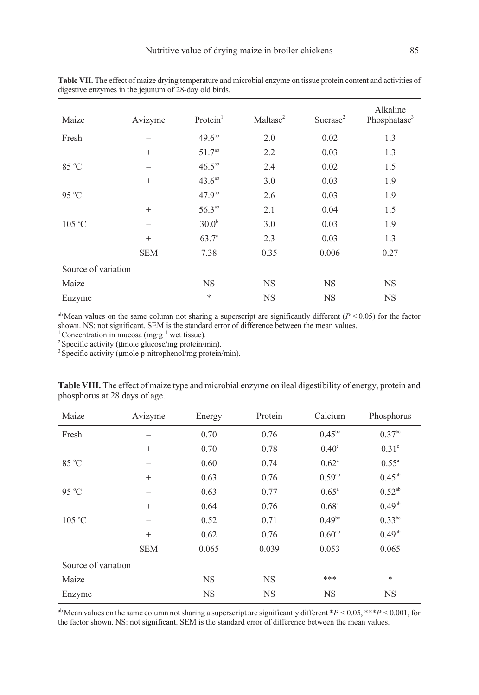| Maize               | Avizyme    | Protein <sup>1</sup> | Maltase <sup>2</sup> | Sucrase <sup>2</sup> | Alkaline<br>Phosphatase <sup>3</sup> |
|---------------------|------------|----------------------|----------------------|----------------------|--------------------------------------|
| Fresh               |            | $49.6^{ab}$          | 2.0                  | 0.02                 | 1.3                                  |
|                     | $^{+}$     | $51.7^{ab}$          | 2.2                  | 0.03                 | 1.3                                  |
| 85 °C               |            | $46.5^{ab}$          | 2.4                  | 0.02                 | 1.5                                  |
|                     | $^{+}$     | 43.6 <sup>ab</sup>   | 3.0                  | 0.03                 | 1.9                                  |
| 95 °C               |            | $47.9^{ab}$          | 2.6                  | 0.03                 | 1.9                                  |
|                     | $^{+}$     | $56.3^{ab}$          | 2.1                  | 0.04                 | 1.5                                  |
| $105^{\circ}$ C     |            | 30.0 <sup>b</sup>    | 3.0                  | 0.03                 | 1.9                                  |
|                     | $^{+}$     | $63.7^{\circ}$       | 2.3                  | 0.03                 | 1.3                                  |
|                     | <b>SEM</b> | 7.38                 | 0.35                 | 0.006                | 0.27                                 |
| Source of variation |            |                      |                      |                      |                                      |
| Maize               |            | <b>NS</b>            | <b>NS</b>            | <b>NS</b>            | <b>NS</b>                            |
| Enzyme              |            | $\ast$               | <b>NS</b>            | <b>NS</b>            | <b>NS</b>                            |

Table VII. The effect of maize drying temperature and microbial enzyme on tissue protein content and activities of digestive enzymes in the jejunum of 28-day old birds.

<sup>ab</sup> Mean values on the same column not sharing a superscript are significantly different ( $P < 0.05$ ) for the factor shown. NS: not significant. SEM is the standard error of difference between the mean values.

<sup>1</sup> Concentration in mucosa (mg·g<sup>-1</sup> wet tissue).

 $2$  Specific activity ( $\mu$ mole glucose/mg protein/min).

<sup>3</sup> Specific activity (umole p-nitrophenol/mg protein/min).

| Maize               | Avizyme    | Energy    | Protein   | Calcium        | Phosphorus     |
|---------------------|------------|-----------|-----------|----------------|----------------|
| Fresh               |            | 0.70      | 0.76      | $0.45^{bc}$    | $0.37^{bc}$    |
|                     | $^{+}$     | 0.70      | 0.78      | $0.40^\circ$   | $0.31^\circ$   |
| 85 °C               |            | 0.60      | 0.74      | $0.62^{\circ}$ | $0.55^{\circ}$ |
|                     | $^{+}$     | 0.63      | 0.76      | $0.59^{ab}$    | $0.45^{ab}$    |
| 95 °C               |            | 0.63      | 0.77      | $0.65^{\circ}$ | $0.52^{ab}$    |
|                     | $^{+}$     | 0.64      | 0.76      | $0.68^{\circ}$ | $0.49^{ab}$    |
| 105 °C              |            | 0.52      | 0.71      | $0.49^{bc}$    | $0.33^{bc}$    |
|                     | $^{+}$     | 0.62      | 0.76      | $0.60^{ab}$    | $0.49^{ab}$    |
|                     | <b>SEM</b> | 0.065     | 0.039     | 0.053          | 0.065          |
| Source of variation |            |           |           |                |                |
| Maize               |            | <b>NS</b> | <b>NS</b> | ***            | $\ast$         |
| Enzyme              |            | <b>NS</b> | <b>NS</b> | <b>NS</b>      | <b>NS</b>      |

Table VIII. The effect of maize type and microbial enzyme on ileal digestibility of energy, protein and phosphorus at 28 days of age.

<sup>ab</sup> Mean values on the same column not sharing a superscript are significantly different \*P < 0.05, \*\*\*P < 0.001, for the factor shown. NS: not significant. SEM is the standard error of difference between the mean values.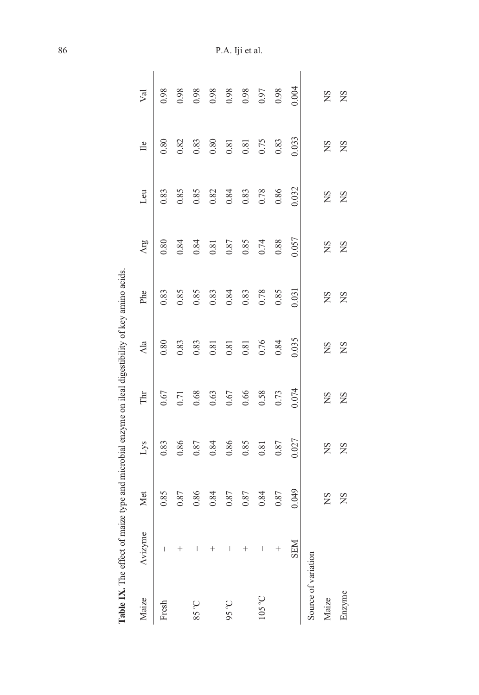| Table IX. The effect of maize type and microbial enzyme on ileal digestibility of key amino acids. |            |             |              |             |       |             |             |          |                  |       |
|----------------------------------------------------------------------------------------------------|------------|-------------|--------------|-------------|-------|-------------|-------------|----------|------------------|-------|
| Maize                                                                                              | Avizyme    | Met         | $_{\rm Lys}$ | Thr         | Ala   | Phe         | Arg         | Leu      | $\exists$        | Val   |
| Fresh                                                                                              |            | 0.85        | 0.83         | 0.67        | 0.80  | 0.83        | 0.80        | 0.83     | 0.80             | 0.98  |
|                                                                                                    |            | 0.87        | 0.86         | 0.71        | 0.83  | 0.85        | 0.84        | 0.85     | 0.82             | 0.98  |
| <b>2.58</b>                                                                                        |            | 0.86        | 0.87         | 0.68        | 0.83  | 0.85        | 0.84        | 0.85     | 0.83             | 0.98  |
|                                                                                                    |            | 0.84        | 0.84         | 0.63        | 0.81  | 0.83        | 0.81        | 0.82     | 0.80             | 0.98  |
| 95°C                                                                                               |            | $0.87\,$    | 0.86         | $0.67$      | 0.81  | 0.84        | $0.87\,$    | 0.84     | 0.81             | 0.98  |
|                                                                                                    |            | 0.87        | 0.85         | 0.66        | 0.81  | 0.83        | 0.85        | 0.83     | $\overline{0.8}$ | 0.98  |
| $105\,^{\circ}\mathrm{C}$                                                                          |            | 0.84        | 0.81         | 0.58        | 0.76  | 0.78        | 0.74        | $0.78\,$ | 0.75             | 0.97  |
|                                                                                                    |            | 0.87        | $0.87\,$     | 0.73        | 0.84  | 0.85        | 0.88        | 0.86     | 0.83             | 0.98  |
|                                                                                                    | <b>NES</b> | 0.049       | 0.027        | 0.074       | 0.035 | 0.031       | 0.057       | 0.032    | 0.033            | 0.004 |
| Source of variation                                                                                |            |             |              |             |       |             |             |          |                  |       |
| Maize                                                                                              |            | $_{\rm NS}$ | SN           | $_{\rm NS}$ | SN    | SN          | $\sum$      | SN       | SN               | SN    |
| Enzyme                                                                                             |            | <b>NS</b>   | SN           | <b>NS</b>   | SN    | $_{\rm NS}$ | $_{\rm NS}$ | SN       | <b>NS</b>        | SN    |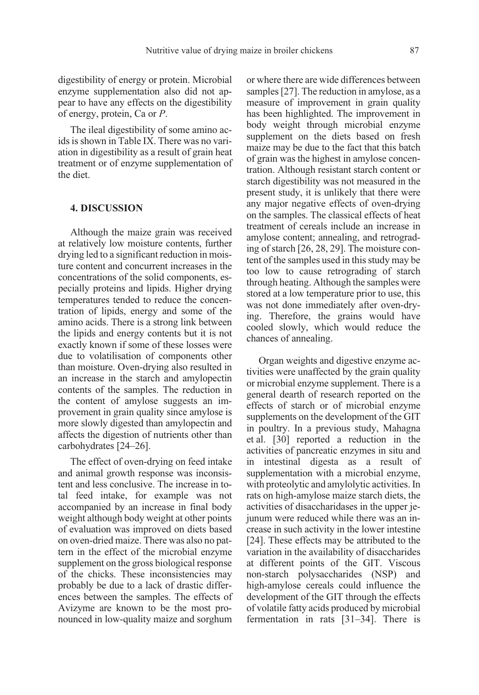digestibility of energy or protein. Microbial enzyme supplementation also did not appear to have any effects on the digestibility of energy, protein, Ca or P.

The ileal digestibility of some amino acids is shown in Table IX. There was no variation in digestibility as a result of grain heat treatment or of enzyme supplementation of the diet.

## 4. DISCUSSION

Although the maize grain was received at relatively low moisture contents, further drying led to a significant reduction in moisture content and concurrent increases in the concentrations of the solid components, especially proteins and lipids. Higher drying temperatures tended to reduce the concentration of lipids, energy and some of the amino acids. There is a strong link between the lipids and energy contents but it is not exactly known if some of these losses were due to volatilisation of components other than moisture. Oven-drying also resulted in an increase in the starch and amylopectin contents of the samples. The reduction in the content of amylose suggests an improvement in grain quality since amylose is more slowly digested than amylopectin and affects the digestion of nutrients other than carbohydrates [24–26].

The effect of oven-drying on feed intake and animal growth response was inconsistent and less conclusive. The increase in total feed intake, for example was not accompanied by an increase in final body weight although body weight at other points of evaluation was improved on diets based on oven-dried maize. There was also no pattern in the effect of the microbial enzyme supplement on the gross biological response of the chicks. These inconsistencies may probably be due to a lack of drastic differences between the samples. The effects of Avizyme are known to be the most pronounced in low-quality maize and sorghum or where there are wide differences between samples [27]. The reduction in amylose, as a measure of improvement in grain quality has been highlighted. The improvement in body weight through microbial enzyme supplement on the diets based on fresh maize may be due to the fact that this batch of grain was the highest in amylose concentration. Although resistant starch content or starch digestibility was not measured in the present study, it is unlikely that there were any major negative effects of oven-drying on the samples. The classical effects of heat treatment of cereals include an increase in amylose content; annealing, and retrograding of starch [26, 28, 29]. The moisture content of the samples used in this study may be too low to cause retrograding of starch through heating. Although the samples were stored at a low temperature prior to use, this was not done immediately after oven-drying. Therefore, the grains would have cooled slowly, which would reduce the chances of annealing.

Organ weights and digestive enzyme activities were unaffected by the grain quality or microbial enzyme supplement. There is a general dearth of research reported on the effects of starch or of microbial enzyme supplements on the development of the GIT in poultry. In a previous study, Mahagna et al. [30] reported a reduction in the activities of pancreatic enzymes in situ and in intestinal digesta as a result of supplementation with a microbial enzyme, with proteolytic and amylolytic activities. In rats on high-amylose maize starch diets, the activities of disaccharidases in the upper jejunum were reduced while there was an increase in such activity in the lower intestine [24]. These effects may be attributed to the variation in the availability of disaccharides at different points of the GIT. Viscous non-starch polysaccharides (NSP) and high-amylose cereals could influence the development of the GIT through the effects of volatile fatty acids produced by microbial fermentation in rats [31–34]. There is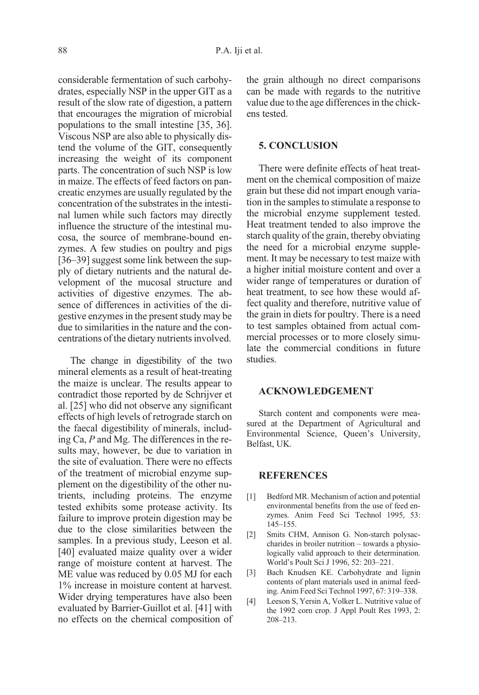considerable fermentation of such carbohydrates, especially NSP in the upper GIT as a result of the slow rate of digestion, a pattern that encourages the migration of microbial populations to the small intestine [35, 36]. Viscous NSP are also able to physically distend the volume of the GIT, consequently increasing the weight of its component parts. The concentration of such NSP is low in maize. The effects of feed factors on pancreatic enzymes are usually regulated by the concentration of the substrates in the intestinal lumen while such factors may directly influence the structure of the intestinal mucosa, the source of membrane-bound enzymes. A few studies on poultry and pigs [36–39] suggest some link between the supply of dietary nutrients and the natural development of the mucosal structure and activities of digestive enzymes. The absence of differences in activities of the digestive enzymes in the present study may be due to similarities in the nature and the concentrations of the dietary nutrients involved.

The change in digestibility of the two mineral elements as a result of heat-treating the maize is unclear. The results appear to contradict those reported by de Schrijver et al. [25] who did not observe any significant effects of high levels of retrograde starch on the faecal digestibility of minerals, including Ca, P and Mg. The differences in the results may, however, be due to variation in the site of evaluation. There were no effects of the treatment of microbial enzyme supplement on the digestibility of the other nutrients, including proteins. The enzyme tested exhibits some protease activity. Its failure to improve protein digestion may be due to the close similarities between the samples. In a previous study, Leeson et al. [40] evaluated maize quality over a wider range of moisture content at harvest. The ME value was reduced by 0.05 MJ for each 1% increase in moisture content at harvest. Wider drying temperatures have also been evaluated by Barrier-Guillot et al. [41] with no effects on the chemical composition of the grain although no direct comparisons can be made with regards to the nutritive value due to the age differences in the chickens tested.

#### 5. CONCLUSION

There were definite effects of heat treatment on the chemical composition of maize grain but these did not impart enough variation in the samples to stimulate a response to the microbial enzyme supplement tested. Heat treatment tended to also improve the starch quality of the grain, thereby obviating the need for a microbial enzyme supplement. It may be necessary to test maize with a higher initial moisture content and over a wider range of temperatures or duration of heat treatment, to see how these would affect quality and therefore, nutritive value of the grain in diets for poultry. There is a need to test samples obtained from actual commercial processes or to more closely simulate the commercial conditions in future studies.

#### ACKNOWLEDGEMENT

Starch content and components were measured at the Department of Agricultural and Environmental Science, Queen's University, Belfast, UK.

#### REFERENCES

- [1] Bedford MR. Mechanism of action and potential environmental benefits from the use of feed enzymes. Anim Feed Sci Technol 1995, 53: 145–155.
- [2] Smits CHM, Annison G. Non-starch polysaccharides in broiler nutrition – towards a physiologically valid approach to their determination. World's Poult Sci J 1996, 52: 203–221.
- [3] Bach Knudsen KE. Carbohydrate and lignin contents of plant materials used in animal feeding. Anim Feed Sci Technol 1997, 67: 319–338.
- [4] Leeson S, Yersin A, Volker L. Nutritive value of the 1992 corn crop. J Appl Poult Res 1993, 2: 208–213.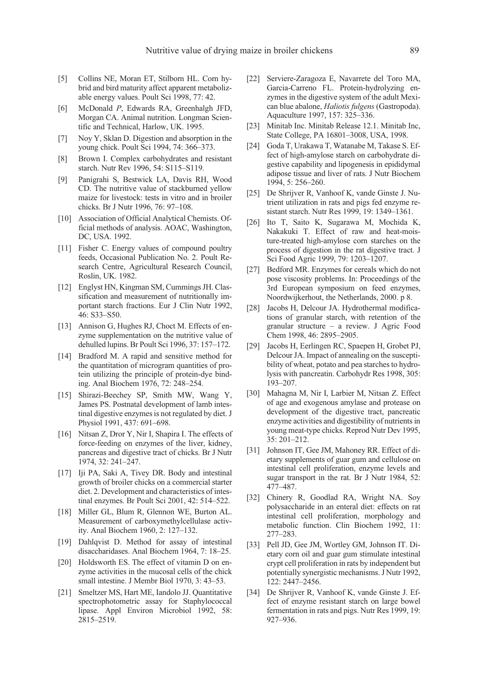- [5] Collins NE, Moran ET, Stilborn HL. Corn hybrid and bird maturity affect apparent metabolizable energy values. Poult Sci 1998, 77: 42.
- [6] McDonald P, Edwards RA, Greenhalgh JFD, Morgan CA. Animal nutrition. Longman Scientific and Technical, Harlow, UK. 1995.
- [7] Noy Y, Sklan D. Digestion and absorption in the young chick. Poult Sci 1994, 74: 366–373.
- [8] Brown I. Complex carbohydrates and resistant starch. Nutr Rev 1996, 54: S115–S119.
- [9] Panigrahi S, Bestwick LA, Davis RH, Wood CD. The nutritive value of stackburned yellow maize for livestock: tests in vitro and in broiler chicks. Br J Nutr 1996, 76: 97–108.
- [10] Association of Official Analytical Chemists. Official methods of analysis. AOAC, Washington, DC, USA. 1992.
- [11] Fisher C. Energy values of compound poultry feeds, Occasional Publication No. 2. Poult Research Centre, Agricultural Research Council, Roslin, UK. 1982.
- [12] Englyst HN, Kingman SM, Cummings JH. Classification and measurement of nutritionally important starch fractions. Eur J Clin Nutr 1992, 46: S33–S50.
- [13] Annison G, Hughes RJ, Choct M. Effects of enzyme supplementation on the nutritive value of dehulled lupins. Br Poult Sci 1996, 37: 157–172.
- [14] Bradford M. A rapid and sensitive method for the quantitation of microgram quantities of protein utilizing the principle of protein-dye binding. Anal Biochem 1976, 72: 248–254.
- [15] Shirazi-Beechey SP, Smith MW, Wang Y, James PS. Postnatal development of lamb intestinal digestive enzymes is not regulated by diet. J Physiol 1991, 437: 691–698.
- [16] Nitsan Z, Dror Y, Nir I, Shapira I. The effects of force-feeding on enzymes of the liver, kidney, pancreas and digestive tract of chicks. Br J Nutr 1974, 32: 241–247.
- [17] Iji PA, Saki A, Tivey DR. Body and intestinal growth of broiler chicks on a commercial starter diet. 2. Development and characteristics of intestinal enzymes. Br Poult Sci 2001, 42: 514–522.
- [18] Miller GL, Blum R, Glennon WE, Burton AL. Measurement of carboxymethylcellulase activity. Anal Biochem 1960, 2: 127–132.
- [19] Dahlqvist D. Method for assay of intestinal disaccharidases. Anal Biochem 1964, 7: 18–25.
- [20] Holdsworth ES. The effect of vitamin D on enzyme activities in the mucosal cells of the chick small intestine. J Membr Biol 1970, 3: 43–53.
- [21] Smeltzer MS, Hart ME, Iandolo JJ. Quantitative spectrophotometric assay for Staphylococcal lipase. Appl Environ Microbiol 1992, 58: 2815–2519.
- [22] Serviere-Zaragoza E, Navarrete del Toro MA, Garcia-Carreno FL. Protein-hydrolyzing enzymes in the digestive system of the adult Mexican blue abalone, Haliotis fulgens (Gastropoda). Aquaculture 1997, 157: 325–336.
- [23] Minitab Inc. Minitab Release 12.1. Minitab Inc, State College, PA 16801–3008, USA, 1998.
- [24] Goda T, Urakawa T, Watanabe M, Takase S. Effect of high-amylose starch on carbohydrate digestive capability and lipogenesis in epididymal adipose tissue and liver of rats. J Nutr Biochem 1994, 5: 256–260.
- [25] De Shrijver R, Vanhoof K, vande Ginste J. Nutrient utilization in rats and pigs fed enzyme resistant starch. Nutr Res 1999, 19: 1349–1361.
- [26] Ito T, Saito K, Sugarawa M, Mochida K, Nakakuki T. Effect of raw and heat-moisture-treated high-amylose corn starches on the process of digestion in the rat digestive tract. J Sci Food Agric 1999, 79: 1203–1207.
- [27] Bedford MR. Enzymes for cereals which do not pose viscosity problems. In: Proceedings of the 3rd European symposium on feed enzymes, Noordwijkerhout, the Netherlands, 2000. p 8.
- [28] Jacobs H, Delcour JA, Hydrothermal modifications of granular starch, with retention of the granular structure – a review. J Agric Food Chem 1998, 46: 2895–2905.
- [29] Jacobs H, Eerlingen RC, Spaepen H, Grobet PJ, Delcour JA. Impact of annealing on the susceptibility of wheat, potato and pea starches to hydrolysis with pancreatin. Carbohydr Res 1998, 305: 193–207.
- [30] Mahagna M, Nir I, Larbier M, Nitsan Z. Effect of age and exogenous amylase and protease on development of the digestive tract, pancreatic enzyme activities and digestibility of nutrients in young meat-type chicks. Reprod Nutr Dev 1995, 35: 201–212.
- [31] Johnson IT, Gee JM, Mahoney RR. Effect of dietary supplements of guar gum and cellulose on intestinal cell proliferation, enzyme levels and sugar transport in the rat. Br J Nutr 1984, 52: 477–487.
- [32] Chinery R, Goodlad RA, Wright NA. Soy polysaccharide in an enteral diet: effects on rat intestinal cell proliferation, morphology and metabolic function. Clin Biochem 1992, 11: 277–283.
- [33] Pell JD, Gee JM, Wortley GM, Johnson IT. Dietary corn oil and guar gum stimulate intestinal crypt cell proliferation in rats by independent but potentially synergistic mechanisms. J Nutr 1992, 122: 2447–2456.
- [34] De Shrijver R, Vanhoof K, vande Ginste J. Effect of enzyme resistant starch on large bowel fermentation in rats and pigs. Nutr Res 1999, 19: 927–936.